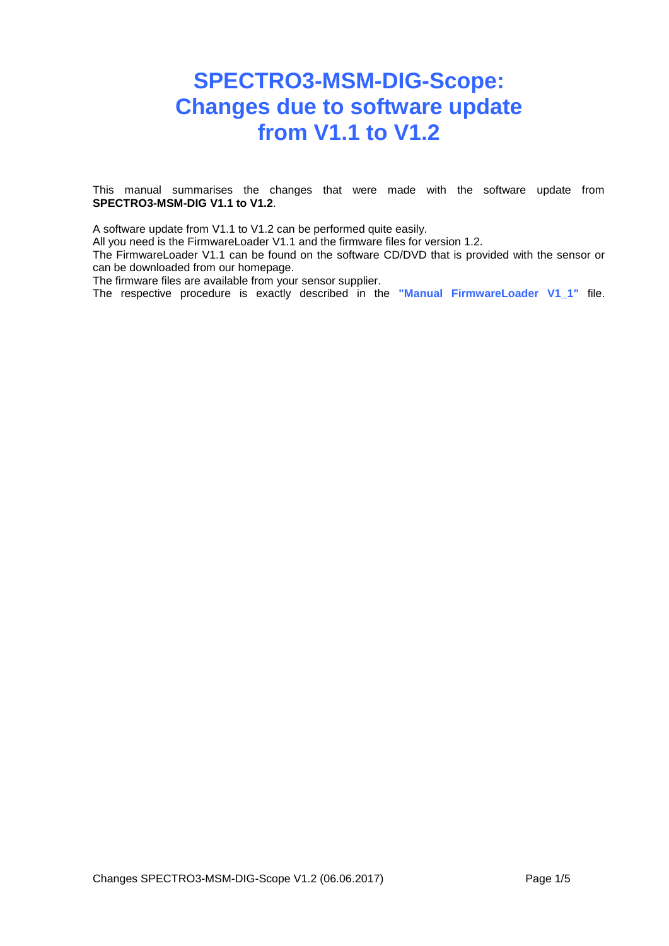# **SPECTRO3-MSM-DIG-Scope: Changes due to software update from V1.1 to V1.2**

This manual summarises the changes that were made with the software update from **SPECTRO3-MSM-DIG V1.1 to V1.2**.

A software update from V1.1 to V1.2 can be performed quite easily.

All you need is the FirmwareLoader V1.1 and the firmware files for version 1.2.

The FirmwareLoader V1.1 can be found on the software CD/DVD that is provided with the sensor or can be downloaded from our homepage.

The firmware files are available from your sensor supplier.

The respective procedure is exactly described in the **"Manual FirmwareLoader V1\_1"** file.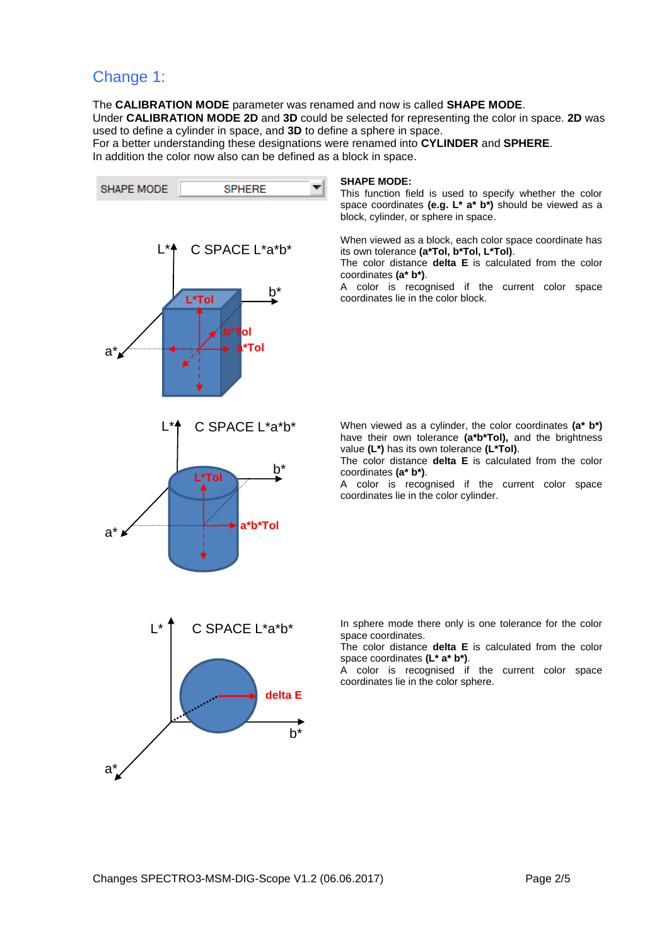### Change 1:

The **CALIBRATION MODE** parameter was renamed and now is called **SHAPE MODE**. Under **CALIBRATION MODE 2D** and **3D** could be selected for representing the color in space. **2D** was used to define a cylinder in space, and **3D** to define a sphere in space.

For a better understanding these designations were renamed into **CYLINDER** and **SPHERE**. In addition the color now also can be defined as a block in space.



#### **SHAPE MODE:**

This function field is used to specify whether the color space coordinates **(e.g. L\* a\* b\*)** should be viewed as a block, cylinder, or sphere in space.

When viewed as a block, each color space coordinate has its own tolerance **(a\*Tol, b\*Tol, L\*Tol)**.

The color distance **delta E** is calculated from the color coordinates **(a\* b\*)**.

A color is recognised if the current color space coordinates lie in the color block.

When viewed as a cylinder, the color coordinates **(a\* b\*)** have their own tolerance **(a\*b\*Tol),** and the brightness value **(L\*)** has its own tolerance **(L\*Tol)**.

The color distance **delta E** is calculated from the color coordinates **(a\* b\*)**.

A color is recognised if the current color space coordinates lie in the color cylinder.

In sphere mode there only is one tolerance for the color space coordinates.

The color distance **delta E** is calculated from the color space coordinates **(L\* a\* b\*)**.

A color is recognised if the current color space coordinates lie in the color sphere.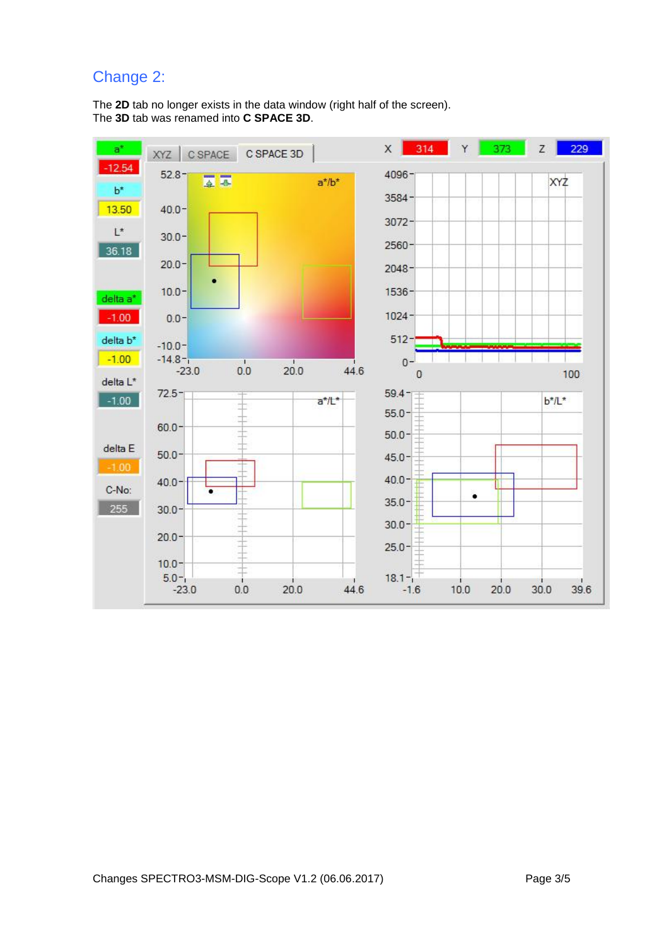# Change 2:

The **2D** tab no longer exists in the data window (right half of the screen). The **3D** tab was renamed into **C SPACE 3D**.

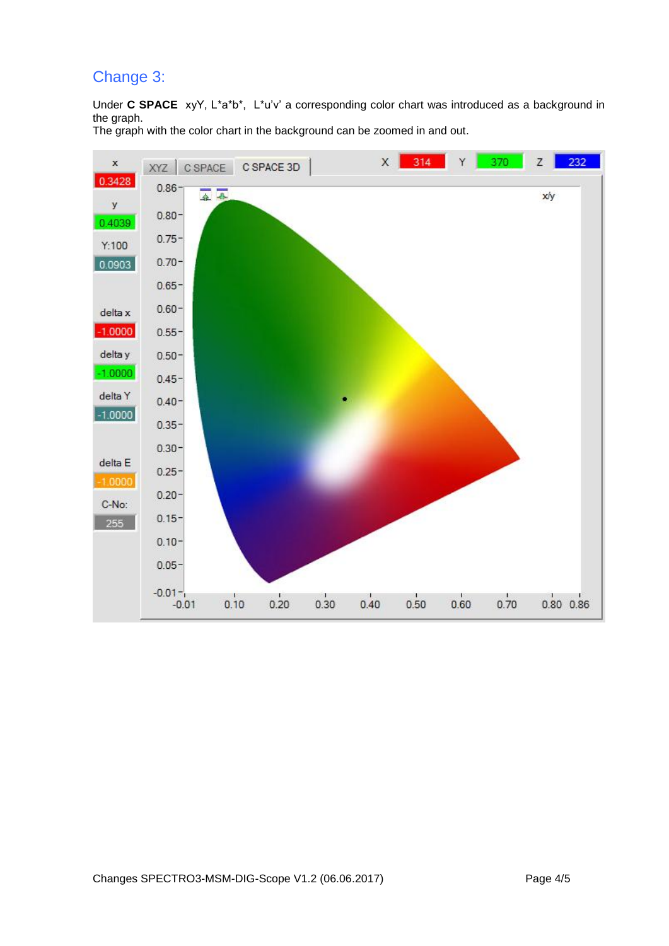# Change 3:

Under **C SPACE** xyY, L\*a\*b\*, L\*u'v' a corresponding color chart was introduced as a background in the graph.

The graph with the color chart in the background can be zoomed in and out.